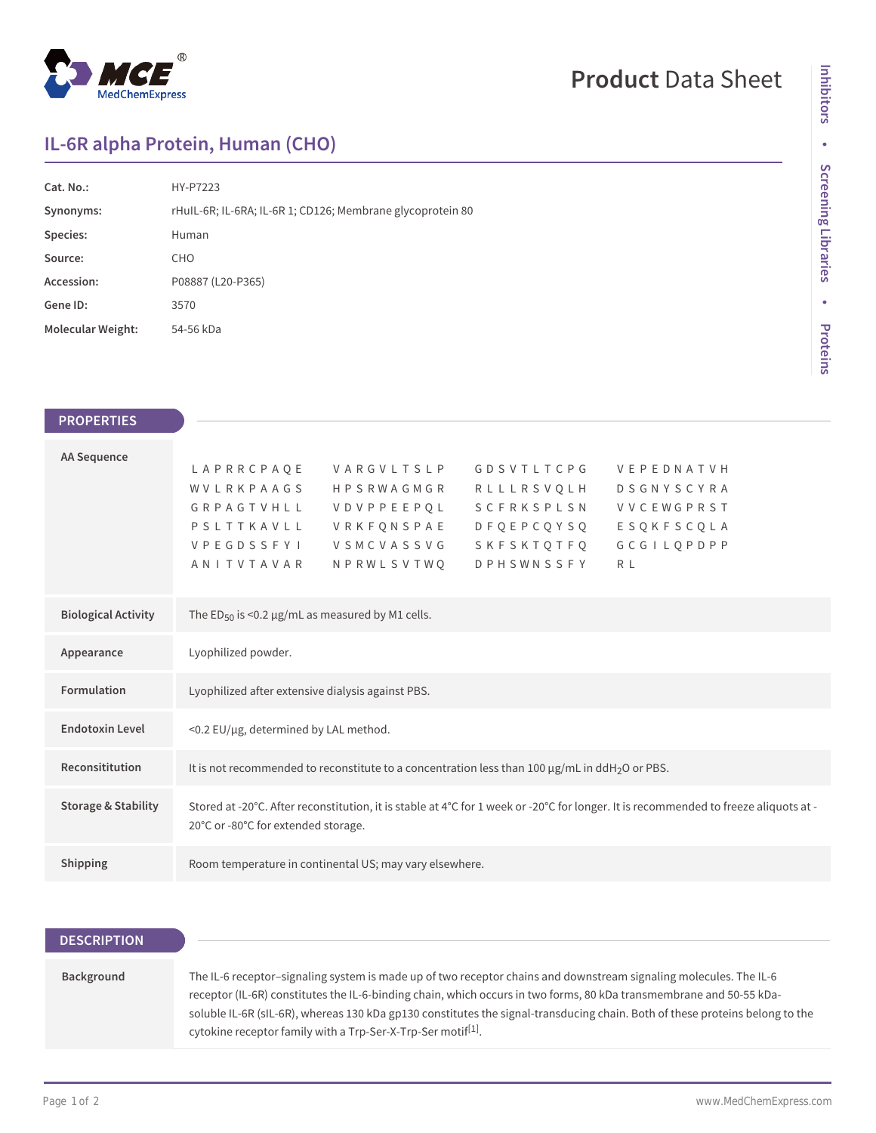

## **Product** Data Sheet

## **IL-6R alpha Protein, Human (CHO)**

| Cat. No.:                | HY-P7223                                                   |
|--------------------------|------------------------------------------------------------|
| Synonyms:                | rHuIL-6R; IL-6RA; IL-6R 1; CD126; Membrane glycoprotein 80 |
| Species:                 | Human                                                      |
| Source:                  | <b>CHO</b>                                                 |
| Accession:               | P08887 (L20-P365)                                          |
| Gene ID:                 | 3570                                                       |
| <b>Molecular Weight:</b> | 54-56 kDa                                                  |

| <b>PROPERTIES</b>              |                                                                                                                                                                                                                                                                                                                                                                                          |
|--------------------------------|------------------------------------------------------------------------------------------------------------------------------------------------------------------------------------------------------------------------------------------------------------------------------------------------------------------------------------------------------------------------------------------|
| <b>AA Sequence</b>             | LAPRRCPAQE<br><b>GDSVTLTCPG</b><br>VARGVLTSLP<br>VEPEDNATVH<br>WVLRKPAAGS<br><b>HPSRWAGMGR</b><br>RLLLRSVQLH<br><b>DSGNYSCYRA</b><br>GRPAGTVHLL<br>SCFRKSPLSN<br><b>VDVPPEEPQL</b><br><b>VVCEWGPRST</b><br>PSLTTKAVLL<br>VRKFQNSPAE<br>D F Q E P C Q Y S Q<br>ESQKFSCQLA<br>GCGILOPDPP<br>VPEGDSSFYI<br>VSMCVASSVG<br>SKFSKTOTFO<br>ANITVTAVAR<br>NPRWLSVTWO<br><b>DPHSWNSSFY</b><br>R L |
| <b>Biological Activity</b>     | The ED <sub>50</sub> is <0.2 $\mu$ g/mL as measured by M1 cells.                                                                                                                                                                                                                                                                                                                         |
| Appearance                     | Lyophilized powder.                                                                                                                                                                                                                                                                                                                                                                      |
| <b>Formulation</b>             | Lyophilized after extensive dialysis against PBS.                                                                                                                                                                                                                                                                                                                                        |
| <b>Endotoxin Level</b>         | <0.2 EU/µg, determined by LAL method.                                                                                                                                                                                                                                                                                                                                                    |
| Reconsititution                | It is not recommended to reconstitute to a concentration less than 100 µg/mL in ddH <sub>2</sub> O or PBS.                                                                                                                                                                                                                                                                               |
| <b>Storage &amp; Stability</b> | Stored at -20°C. After reconstitution, it is stable at 4°C for 1 week or -20°C for longer. It is recommended to freeze aliquots at -<br>20°C or -80°C for extended storage.                                                                                                                                                                                                              |
| Shipping                       | Room temperature in continental US; may vary elsewhere.                                                                                                                                                                                                                                                                                                                                  |
|                                |                                                                                                                                                                                                                                                                                                                                                                                          |

| <b>DESCRIPTION</b> |                                                                                                                                                                                                                                                                                                                                                                                                                                                      |
|--------------------|------------------------------------------------------------------------------------------------------------------------------------------------------------------------------------------------------------------------------------------------------------------------------------------------------------------------------------------------------------------------------------------------------------------------------------------------------|
|                    |                                                                                                                                                                                                                                                                                                                                                                                                                                                      |
| Background         | The IL-6 receptor-signaling system is made up of two receptor chains and downstream signaling molecules. The IL-6<br>receptor (IL-6R) constitutes the IL-6-binding chain, which occurs in two forms, 80 kDa transmembrane and 50-55 kDa-<br>soluble IL-6R (sIL-6R), whereas 130 kDa gp130 constitutes the signal-transducing chain. Both of these proteins belong to the<br>cytokine receptor family with a Trp-Ser-X-Trp-Ser motif <sup>[1]</sup> . |